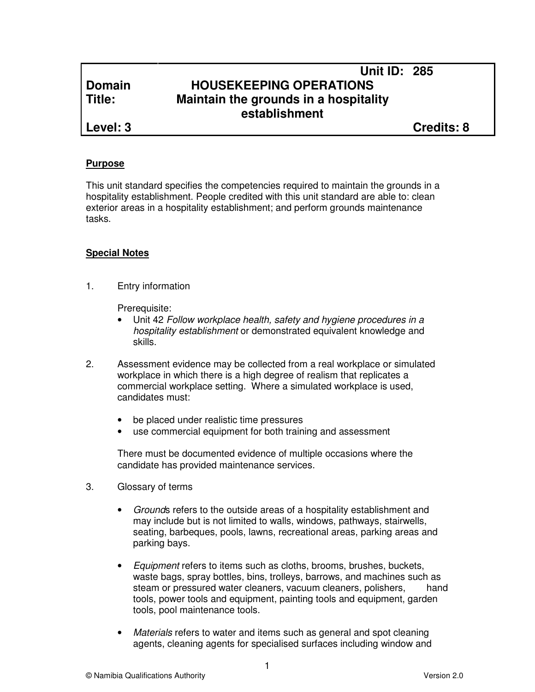## **Unit ID: 285 Domain HOUSEKEEPING OPERATIONS Title: Maintain the grounds in a hospitality establishment**

**Level: 3 Credits: 8**

#### **Purpose**

This unit standard specifies the competencies required to maintain the grounds in a hospitality establishment. People credited with this unit standard are able to: clean exterior areas in a hospitality establishment; and perform grounds maintenance tasks.

## **Special Notes**

1. Entry information

Prerequisite:

- Unit 42 Follow workplace health, safety and hygiene procedures in a hospitality establishment or demonstrated equivalent knowledge and skills.
- 2. Assessment evidence may be collected from a real workplace or simulated workplace in which there is a high degree of realism that replicates a commercial workplace setting. Where a simulated workplace is used, candidates must:
	- be placed under realistic time pressures
	- use commercial equipment for both training and assessment

There must be documented evidence of multiple occasions where the candidate has provided maintenance services.

- 3. Glossary of terms
	- Grounds refers to the outside areas of a hospitality establishment and may include but is not limited to walls, windows, pathways, stairwells, seating, barbeques, pools, lawns, recreational areas, parking areas and parking bays.
	- Equipment refers to items such as cloths, brooms, brushes, buckets, waste bags, spray bottles, bins, trolleys, barrows, and machines such as steam or pressured water cleaners, vacuum cleaners, polishers, hand tools, power tools and equipment, painting tools and equipment, garden tools, pool maintenance tools.
	- Materials refers to water and items such as general and spot cleaning agents, cleaning agents for specialised surfaces including window and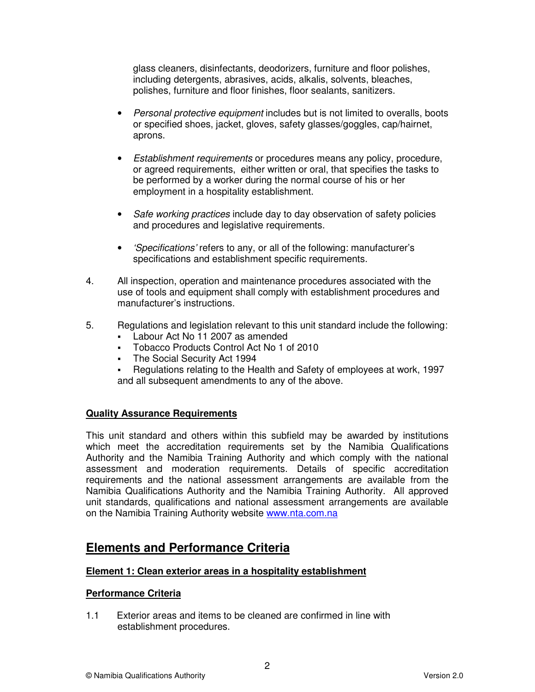glass cleaners, disinfectants, deodorizers, furniture and floor polishes, including detergents, abrasives, acids, alkalis, solvents, bleaches, polishes, furniture and floor finishes, floor sealants, sanitizers.

- Personal protective equipment includes but is not limited to overalls, boots or specified shoes, jacket, gloves, safety glasses/goggles, cap/hairnet, aprons.
- Establishment requirements or procedures means any policy, procedure, or agreed requirements, either written or oral, that specifies the tasks to be performed by a worker during the normal course of his or her employment in a hospitality establishment.
- Safe working practices include day to day observation of safety policies and procedures and legislative requirements.
- 'Specifications' refers to any, or all of the following: manufacturer's specifications and establishment specific requirements.
- 4. All inspection, operation and maintenance procedures associated with the use of tools and equipment shall comply with establishment procedures and manufacturer's instructions.
- 5. Regulations and legislation relevant to this unit standard include the following:
	- Labour Act No 11 2007 as amended
	- Tobacco Products Control Act No 1 of 2010
	- **The Social Security Act 1994**
	- Regulations relating to the Health and Safety of employees at work, 1997 and all subsequent amendments to any of the above.

## **Quality Assurance Requirements**

This unit standard and others within this subfield may be awarded by institutions which meet the accreditation requirements set by the Namibia Qualifications Authority and the Namibia Training Authority and which comply with the national assessment and moderation requirements. Details of specific accreditation requirements and the national assessment arrangements are available from the Namibia Qualifications Authority and the Namibia Training Authority. All approved unit standards, qualifications and national assessment arrangements are available on the Namibia Training Authority website www.nta.com.na

# **Elements and Performance Criteria**

## **Element 1: Clean exterior areas in a hospitality establishment**

## **Performance Criteria**

1.1 Exterior areas and items to be cleaned are confirmed in line with establishment procedures.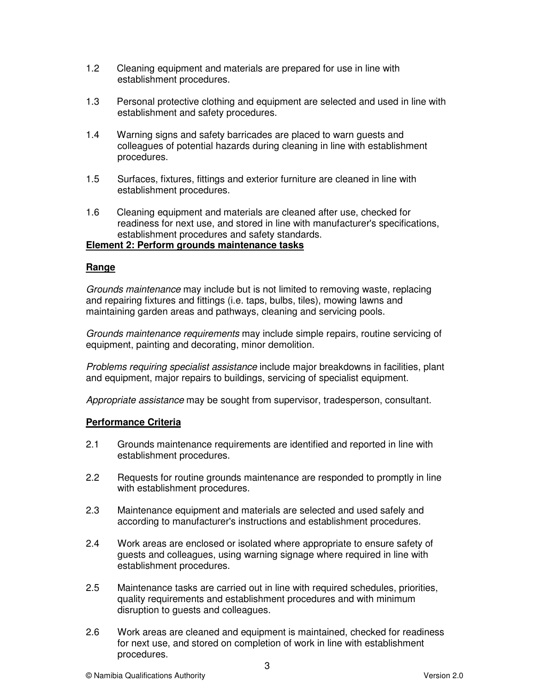- 1.2 Cleaning equipment and materials are prepared for use in line with establishment procedures.
- 1.3 Personal protective clothing and equipment are selected and used in line with establishment and safety procedures.
- 1.4 Warning signs and safety barricades are placed to warn guests and colleagues of potential hazards during cleaning in line with establishment procedures.
- 1.5 Surfaces, fixtures, fittings and exterior furniture are cleaned in line with establishment procedures.
- 1.6 Cleaning equipment and materials are cleaned after use, checked for readiness for next use, and stored in line with manufacturer's specifications, establishment procedures and safety standards.

## **Element 2: Perform grounds maintenance tasks**

#### **Range**

Grounds maintenance may include but is not limited to removing waste, replacing and repairing fixtures and fittings (i.e. taps, bulbs, tiles), mowing lawns and maintaining garden areas and pathways, cleaning and servicing pools.

Grounds maintenance requirements may include simple repairs, routine servicing of equipment, painting and decorating, minor demolition.

Problems requiring specialist assistance include major breakdowns in facilities, plant and equipment, major repairs to buildings, servicing of specialist equipment.

Appropriate assistance may be sought from supervisor, tradesperson, consultant.

#### **Performance Criteria**

- 2.1 Grounds maintenance requirements are identified and reported in line with establishment procedures.
- 2.2 Requests for routine grounds maintenance are responded to promptly in line with establishment procedures.
- 2.3 Maintenance equipment and materials are selected and used safely and according to manufacturer's instructions and establishment procedures.
- 2.4 Work areas are enclosed or isolated where appropriate to ensure safety of guests and colleagues, using warning signage where required in line with establishment procedures.
- 2.5 Maintenance tasks are carried out in line with required schedules, priorities, quality requirements and establishment procedures and with minimum disruption to guests and colleagues.
- 2.6 Work areas are cleaned and equipment is maintained, checked for readiness for next use, and stored on completion of work in line with establishment procedures.